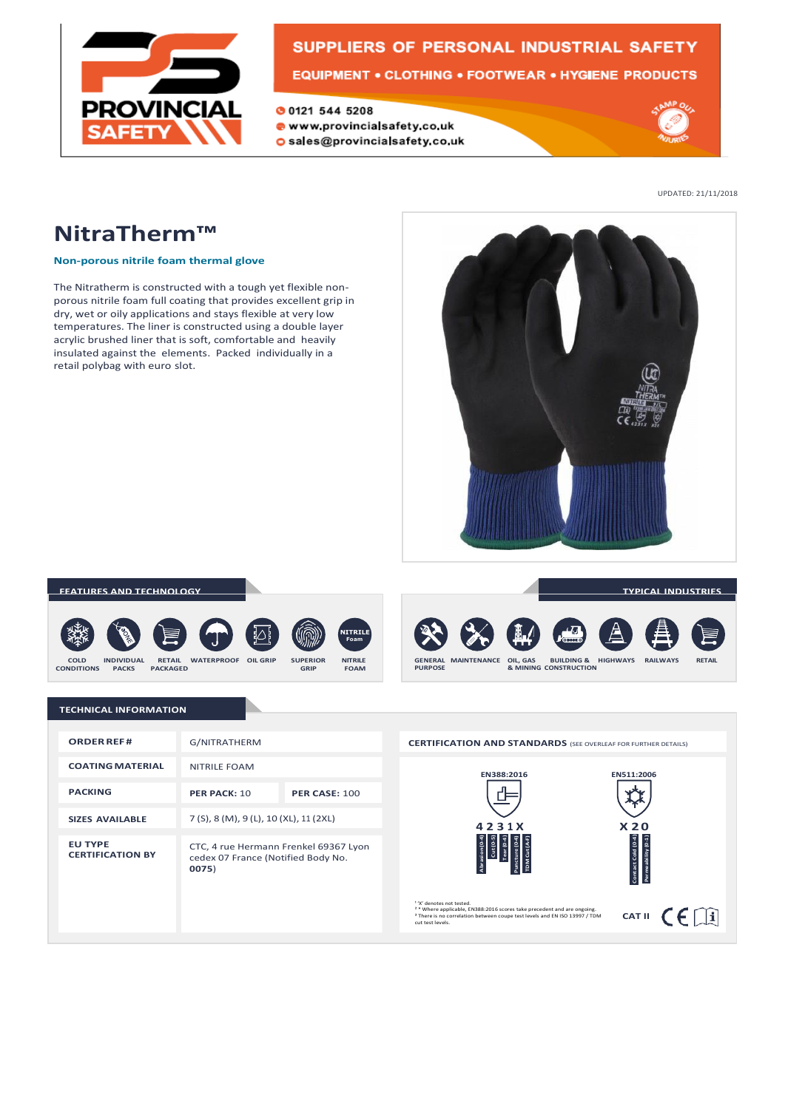

# SUPPLIERS OF PERSONAL INDUSTRIAL SAFETY

**00121 544 5208** www.provincialsafety.co.uk

O sales@provincialsafety.co.uk



UPDATED: 21/11/2018

# **NitraTherm™**

### **Non-porous nitrile foam thermal glove**

The Nitratherm is constructed with a tough yet flexible nonporous nitrile foam full coating that provides excellent grip in dry, wet or oily applications and stays flexible at very low temperatures. The liner is constructed using a double layer acrylic brushed liner that is soft, comfortable and heavily insulated against the elements. Packed individually in a retail polybag with euro slot.



### **FEATURES AND TECHNOLOGY**









**TYPICAL INDUSTRIES**

#### **TECHNICAL INFORMATION**

| <b>ORDER REF#</b>                         | G/NITRATHERM                                                                         |                      |
|-------------------------------------------|--------------------------------------------------------------------------------------|----------------------|
| <b>COATING MATERIAL</b>                   | <b>NITRILE FOAM</b>                                                                  |                      |
| <b>PACKING</b>                            | <b>PFR PACK: 10</b>                                                                  | <b>PER CASE: 100</b> |
| <b>SIZES AVAILABLE</b>                    | 7 (S), 8 (M), 9 (L), 10 (XL), 11 (2XL)                                               |                      |
| <b>EU TYPE</b><br><b>CERTIFICATION BY</b> | CTC, 4 rue Hermann Frenkel 69367 Lyon<br>cedex 07 France (Notified Body No.<br>0075) |                      |